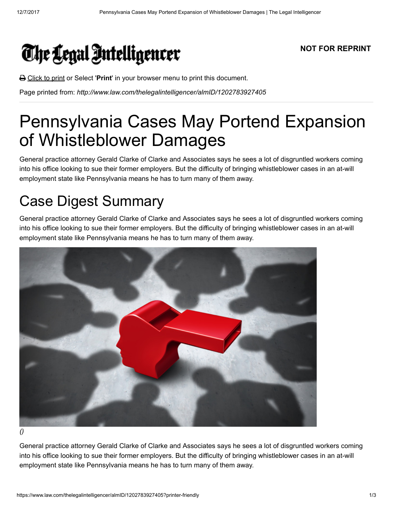

**△** Click to print or Select 'Print' in your browser menu to print this document.

Page printed from: http://www.law.com/thelegalintelligencer/almID/1202783927405

## Pennsylvania Cases May Portend Expansion of Whistleblower Damages

General practice attorney Gerald Clarke of Clarke and Associates says he sees a lot of disgruntled workers coming into his office looking to sue their former employers. But the difficulty of bringing whistleblower cases in an at-will employment state like Pennsylvania means he has to turn many of them away.

## Case Digest Summary

General practice attorney Gerald Clarke of Clarke and Associates says he sees a lot of disgruntled workers coming into his office looking to sue their former employers. But the difficulty of bringing whistleblower cases in an at-will employment state like Pennsylvania means he has to turn many of them away.



()

General practice attorney Gerald Clarke of Clarke and Associates says he sees a lot of disgruntled workers coming into his office looking to sue their former employers. But the difficulty of bringing whistleblower cases in an at-will employment state like Pennsylvania means he has to turn many of them away.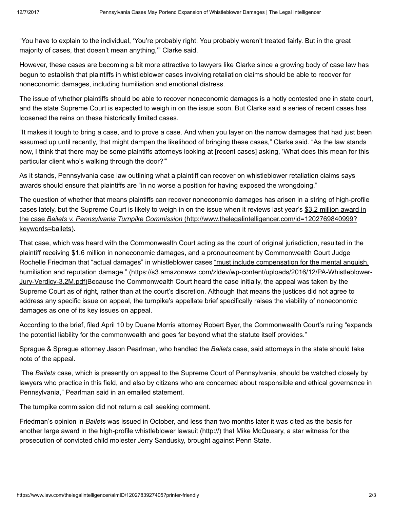"You have to explain to the individual, 'You're probably right. You probably weren't treated fairly. But in the great majority of cases, that doesn't mean anything,'" Clarke said.

However, these cases are becoming a bit more attractive to lawyers like Clarke since a growing body of case law has begun to establish that plaintiffs in whistleblower cases involving retaliation claims should be able to recover for noneconomic damages, including humiliation and emotional distress.

The issue of whether plaintiffs should be able to recover noneconomic damages is a hotly contested one in state court, and the state Supreme Court is expected to weigh in on the issue soon. But Clarke said a series of recent cases has loosened the reins on these historically limited cases.

"It makes it tough to bring a case, and to prove a case. And when you layer on the narrow damages that had just been assumed up until recently, that might dampen the likelihood of bringing these cases," Clarke said. "As the law stands now, I think that there may be some plaintiffs attorneys looking at [recent cases] asking, 'What does this mean for this particular client who's walking through the door?'"

As it stands, Pennsylvania case law outlining what a plaintiff can recover on whistleblower retaliation claims says awards should ensure that plaintiffs are "in no worse a position for having exposed the wrongdoing."

The question of whether that means plaintiffs can recover noneconomic damages has arisen in a string of high-profile [cases lately, but the Supreme Court is likely to weigh in on the issue when it reviews last year's \\$3.2 million award in](http://www.thelegalintelligencer.com/id=1202769840999?keywords=bailets) the case Bailets v. Pennsylvania Turnpike Commission (http://www.thelegalintelligencer.com/id=1202769840999? keywords=bailets).

That case, which was heard with the Commonwealth Court acting as the court of original jurisdiction, resulted in the plaintiff receiving \$1.6 million in noneconomic damages, and a pronouncement by Commonwealth Court Judge Rochelle Friedman that "actual damages" in whistleblower cases "must include compensation for the mental anguish, [humiliation and reputation damage." \(https://s3.amazonaws.com/zldev/wp-content/uploads/2016/12/PA-Whistleblower-](https://s3.amazonaws.com/zldev/wp-content/uploads/2016/12/PA-Whistleblower-Jury-Verdicy-3.2M.pdf)Jury-Verdicy-3.2M.pdf)Because the Commonwealth Court heard the case initially, the appeal was taken by the Supreme Court as of right, rather than at the court's discretion. Although that means the justices did not agree to address any specific issue on appeal, the turnpike's appellate brief specifically raises the viability of noneconomic damages as one of its key issues on appeal.

According to the brief, filed April 10 by Duane Morris attorney Robert Byer, the Commonwealth Court's ruling "expands the potential liability for the commonwealth and goes far beyond what the statute itself provides."

Sprague & Sprague attorney Jason Pearlman, who handled the Bailets case, said attorneys in the state should take note of the appeal.

"The Bailets case, which is presently on appeal to the Supreme Court of Pennsylvania, should be watched closely by lawyers who practice in this field, and also by citizens who are concerned about responsible and ethical governance in Pennsylvania," Pearlman said in an emailed statement.

The turnpike commission did not return a call seeking comment.

Friedman's opinion in *Bailets* was issued in October, and less than two months later it was cited as the basis for another large award in the high-profile whistleblower lawsuit (http://) that Mike McQueary, a star witness for the prosecution of convicted child molester Jerry Sandusky, brought against Penn State.